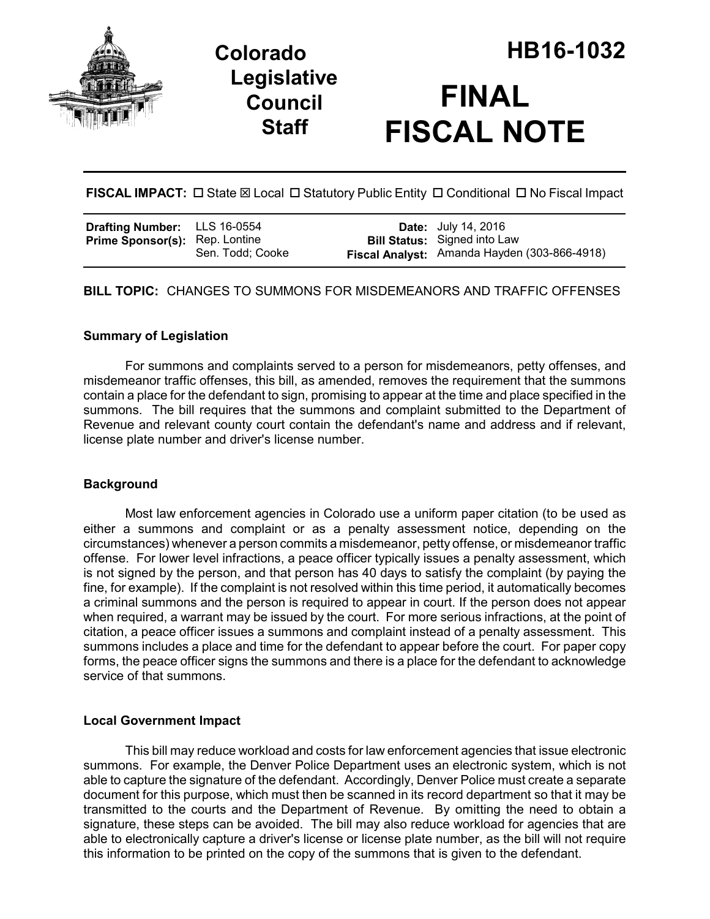

# **Legislative Council Staff**

FISCAL IMPACT:  $\Box$  State  $\boxtimes$  Local  $\Box$  Statutory Public Entity  $\Box$  Conditional  $\Box$  No Fiscal Impact

| <b>Drafting Number:</b> LLS 16-0554   |                  | <b>Date:</b> July 14, 2016                   |
|---------------------------------------|------------------|----------------------------------------------|
| <b>Prime Sponsor(s): Rep. Lontine</b> |                  | <b>Bill Status:</b> Signed into Law          |
|                                       | Sen. Todd; Cooke | Fiscal Analyst: Amanda Hayden (303-866-4918) |

**BILL TOPIC:** CHANGES TO SUMMONS FOR MISDEMEANORS AND TRAFFIC OFFENSES

## **Summary of Legislation**

For summons and complaints served to a person for misdemeanors, petty offenses, and misdemeanor traffic offenses, this bill, as amended, removes the requirement that the summons contain a place for the defendant to sign, promising to appear at the time and place specified in the summons. The bill requires that the summons and complaint submitted to the Department of Revenue and relevant county court contain the defendant's name and address and if relevant, license plate number and driver's license number.

## **Background**

Most law enforcement agencies in Colorado use a uniform paper citation (to be used as either a summons and complaint or as a penalty assessment notice, depending on the circumstances) whenever a person commits a misdemeanor, petty offense, or misdemeanor traffic offense. For lower level infractions, a peace officer typically issues a penalty assessment, which is not signed by the person, and that person has 40 days to satisfy the complaint (by paying the fine, for example). If the complaint is not resolved within this time period, it automatically becomes a criminal summons and the person is required to appear in court. If the person does not appear when required, a warrant may be issued by the court. For more serious infractions, at the point of citation, a peace officer issues a summons and complaint instead of a penalty assessment. This summons includes a place and time for the defendant to appear before the court. For paper copy forms, the peace officer signs the summons and there is a place for the defendant to acknowledge service of that summons.

## **Local Government Impact**

This bill may reduce workload and costs for law enforcement agencies that issue electronic summons. For example, the Denver Police Department uses an electronic system, which is not able to capture the signature of the defendant. Accordingly, Denver Police must create a separate document for this purpose, which must then be scanned in its record department so that it may be transmitted to the courts and the Department of Revenue. By omitting the need to obtain a signature, these steps can be avoided. The bill may also reduce workload for agencies that are able to electronically capture a driver's license or license plate number, as the bill will not require this information to be printed on the copy of the summons that is given to the defendant.